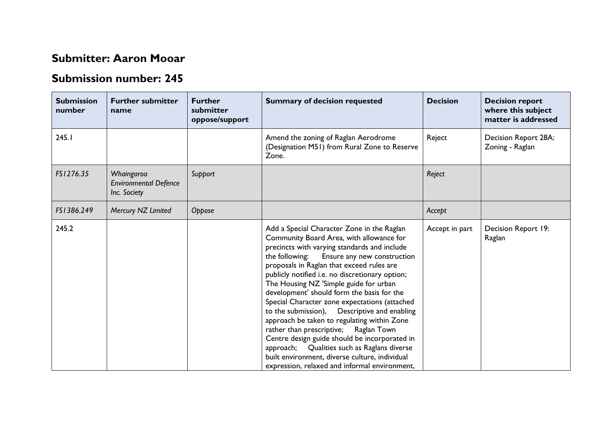## **Submitter: Aaron Mooar**

## **Submission number: 245**

| <b>Submission</b><br>number | <b>Further submitter</b><br>name                           | <b>Further</b><br>submitter<br>oppose/support | <b>Summary of decision requested</b>                                                                                                                                                                                                                                                                                                                                                                                                                                                                                                                                                                                                                                                                                                                                              | <b>Decision</b> | <b>Decision report</b><br>where this subject<br>matter is addressed |
|-----------------------------|------------------------------------------------------------|-----------------------------------------------|-----------------------------------------------------------------------------------------------------------------------------------------------------------------------------------------------------------------------------------------------------------------------------------------------------------------------------------------------------------------------------------------------------------------------------------------------------------------------------------------------------------------------------------------------------------------------------------------------------------------------------------------------------------------------------------------------------------------------------------------------------------------------------------|-----------------|---------------------------------------------------------------------|
| 245.1                       |                                                            |                                               | Amend the zoning of Raglan Aerodrome<br>(Designation M51) from Rural Zone to Reserve<br>Zone.                                                                                                                                                                                                                                                                                                                                                                                                                                                                                                                                                                                                                                                                                     | Reject          | Decision Report 28A:<br>Zoning - Raglan                             |
| FS1276.35                   | Whaingaroa<br><b>Environmental Defence</b><br>Inc. Society | Support                                       |                                                                                                                                                                                                                                                                                                                                                                                                                                                                                                                                                                                                                                                                                                                                                                                   | Reject          |                                                                     |
| FS1386.249                  | Mercury NZ Limited                                         | Oppose                                        |                                                                                                                                                                                                                                                                                                                                                                                                                                                                                                                                                                                                                                                                                                                                                                                   | Accept          |                                                                     |
| 245.2                       |                                                            |                                               | Add a Special Character Zone in the Raglan<br>Community Board Area, with allowance for<br>precincts with varying standards and include<br>Ensure any new construction<br>the following:<br>proposals in Raglan that exceed rules are<br>publicly notified i.e. no discretionary option;<br>The Housing NZ 'Simple guide for urban<br>development' should form the basis for the<br>Special Character zone expectations (attached<br>to the submission),<br>Descriptive and enabling<br>approach be taken to regulating within Zone<br>rather than prescriptive;<br>Raglan Town<br>Centre design guide should be incorporated in<br>approach; Qualities such as Raglans diverse<br>built environment, diverse culture, individual<br>expression, relaxed and informal environment, | Accept in part  | Decision Report 19:<br>Raglan                                       |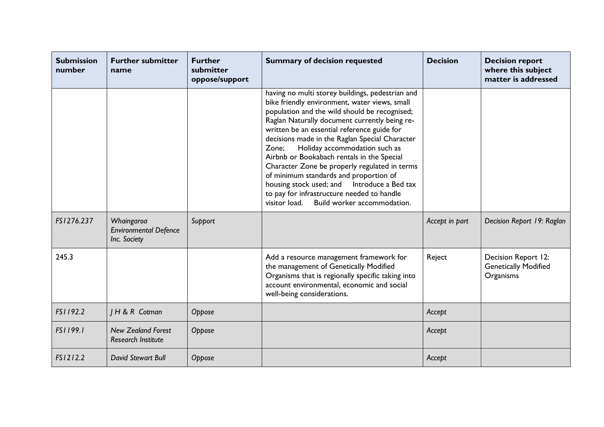| <b>Submission</b><br>number | <b>Further submitter</b><br>name                           | <b>Further</b><br>submitter<br>oppose/support | <b>Summary of decision requested</b>                                                                                                                                                                                                                                                                                                                                                                                                                                                                                                                                                                                                 | <b>Decision</b> | <b>Decision report</b><br>where this subject<br>matter is addressed |
|-----------------------------|------------------------------------------------------------|-----------------------------------------------|--------------------------------------------------------------------------------------------------------------------------------------------------------------------------------------------------------------------------------------------------------------------------------------------------------------------------------------------------------------------------------------------------------------------------------------------------------------------------------------------------------------------------------------------------------------------------------------------------------------------------------------|-----------------|---------------------------------------------------------------------|
|                             |                                                            |                                               | having no multi storey buildings, pedestrian and<br>bike friendly environment, water views, small<br>population and the wild should be recognised;<br>Raglan Naturally document currently being re-<br>written be an essential reference guide for<br>decisions made in the Raglan Special Character<br>Holiday accommodation such as<br>Zone;<br>Airbnb or Bookabach rentals in the Special<br>Character Zone be properly regulated in terms<br>of minimum standards and proportion of<br>housing stock used; and Introduce a Bed tax<br>to pay for infrastructure needed to handle<br>Build worker accommodation.<br>visitor load. |                 |                                                                     |
| FS1276.237                  | Whaingaroa<br><b>Environmental Defence</b><br>Inc. Society | Support                                       |                                                                                                                                                                                                                                                                                                                                                                                                                                                                                                                                                                                                                                      | Accept in part  | Decision Report 19: Raglan                                          |
| 245.3                       |                                                            |                                               | Add a resource management framework for<br>the management of Genetically Modified<br>Organisms that is regionally specific taking into<br>account environmental, economic and social<br>well-being considerations.                                                                                                                                                                                                                                                                                                                                                                                                                   | Reject          | Decision Report 12:<br><b>Genetically Modified</b><br>Organisms     |
| FS1192.2                    | H & R Cotman                                               | Oppose                                        |                                                                                                                                                                                                                                                                                                                                                                                                                                                                                                                                                                                                                                      | Accept          |                                                                     |
| FS1199.1                    | <b>New Zealand Forest</b><br><b>Research Institute</b>     | Oppose                                        |                                                                                                                                                                                                                                                                                                                                                                                                                                                                                                                                                                                                                                      | Accept          |                                                                     |
| FS1212.2                    | David Stewart Bull                                         | Oppose                                        |                                                                                                                                                                                                                                                                                                                                                                                                                                                                                                                                                                                                                                      | Accept          |                                                                     |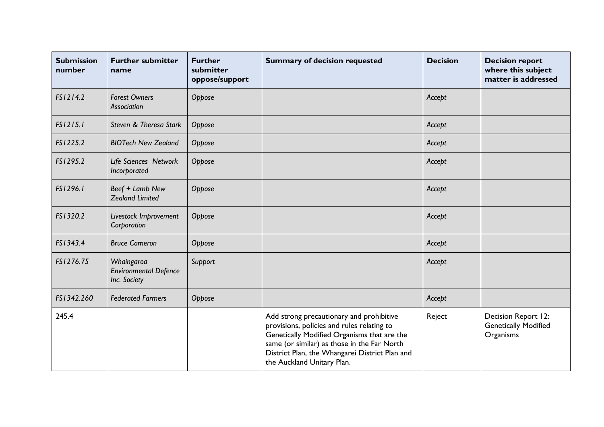| <b>Submission</b><br>number | <b>Further submitter</b><br>name                           | <b>Further</b><br>submitter<br>oppose/support | <b>Summary of decision requested</b>                                                                                                                                                                                                                                 | <b>Decision</b> | <b>Decision report</b><br>where this subject<br>matter is addressed |
|-----------------------------|------------------------------------------------------------|-----------------------------------------------|----------------------------------------------------------------------------------------------------------------------------------------------------------------------------------------------------------------------------------------------------------------------|-----------------|---------------------------------------------------------------------|
| FS1214.2                    | <b>Forest Owners</b><br>Association                        | Oppose                                        |                                                                                                                                                                                                                                                                      | Accept          |                                                                     |
| FS1215.1                    | Steven & Theresa Stark                                     | Oppose                                        |                                                                                                                                                                                                                                                                      | Accept          |                                                                     |
| FS1225.2                    | <b>BIOTech New Zealand</b>                                 | Oppose                                        |                                                                                                                                                                                                                                                                      | Accept          |                                                                     |
| FS1295.2                    | Life Sciences Network<br>Incorporated                      | Oppose                                        |                                                                                                                                                                                                                                                                      | Accept          |                                                                     |
| FS1296.1                    | Beef + Lamb New<br><b>Zealand Limited</b>                  | Oppose                                        |                                                                                                                                                                                                                                                                      | Accept          |                                                                     |
| FS1320.2                    | Livestock Improvement<br>Corporation                       | Oppose                                        |                                                                                                                                                                                                                                                                      | Accept          |                                                                     |
| FS1343.4                    | <b>Bruce Cameron</b>                                       | Oppose                                        |                                                                                                                                                                                                                                                                      | Accept          |                                                                     |
| FS1276.75                   | Whaingaroa<br><b>Environmental Defence</b><br>Inc. Society | Support                                       |                                                                                                                                                                                                                                                                      | Accept          |                                                                     |
| FS1342.260                  | <b>Federated Farmers</b>                                   | Oppose                                        |                                                                                                                                                                                                                                                                      | Accept          |                                                                     |
| 245.4                       |                                                            |                                               | Add strong precautionary and prohibitive<br>provisions, policies and rules relating to<br>Genetically Modified Organisms that are the<br>same (or similar) as those in the Far North<br>District Plan, the Whangarei District Plan and<br>the Auckland Unitary Plan. | Reject          | Decision Report 12:<br><b>Genetically Modified</b><br>Organisms     |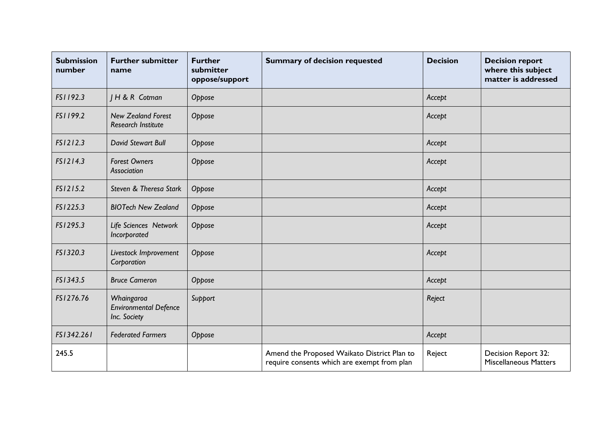| <b>Submission</b><br>number | <b>Further submitter</b><br>name                           | <b>Further</b><br>submitter<br>oppose/support | <b>Summary of decision requested</b>                                                       | <b>Decision</b> | <b>Decision report</b><br>where this subject<br>matter is addressed |
|-----------------------------|------------------------------------------------------------|-----------------------------------------------|--------------------------------------------------------------------------------------------|-----------------|---------------------------------------------------------------------|
| FS1192.3                    | H & R Cotman                                               | Oppose                                        |                                                                                            | Accept          |                                                                     |
| FS1199.2                    | <b>New Zealand Forest</b><br><b>Research Institute</b>     | Oppose                                        |                                                                                            | Accept          |                                                                     |
| FS1212.3                    | David Stewart Bull                                         | Oppose                                        |                                                                                            | Accept          |                                                                     |
| FS1214.3                    | <b>Forest Owners</b><br>Association                        | Oppose                                        |                                                                                            | Accept          |                                                                     |
| FS1215.2                    | Steven & Theresa Stark                                     | Oppose                                        |                                                                                            | Accept          |                                                                     |
| FS1225.3                    | <b>BIOTech New Zealand</b>                                 | Oppose                                        |                                                                                            | Accept          |                                                                     |
| FS1295.3                    | Life Sciences Network<br>Incorporated                      | Oppose                                        |                                                                                            | Accept          |                                                                     |
| FS1320.3                    | Livestock Improvement<br>Corporation                       | Oppose                                        |                                                                                            | Accept          |                                                                     |
| FS1343.5                    | <b>Bruce Cameron</b>                                       | Oppose                                        |                                                                                            | Accept          |                                                                     |
| FS1276.76                   | Whaingaroa<br><b>Environmental Defence</b><br>Inc. Society | Support                                       |                                                                                            | Reject          |                                                                     |
| FS1342.261                  | <b>Federated Farmers</b>                                   | Oppose                                        |                                                                                            | Accept          |                                                                     |
| 245.5                       |                                                            |                                               | Amend the Proposed Waikato District Plan to<br>require consents which are exempt from plan | Reject          | Decision Report 32:<br><b>Miscellaneous Matters</b>                 |